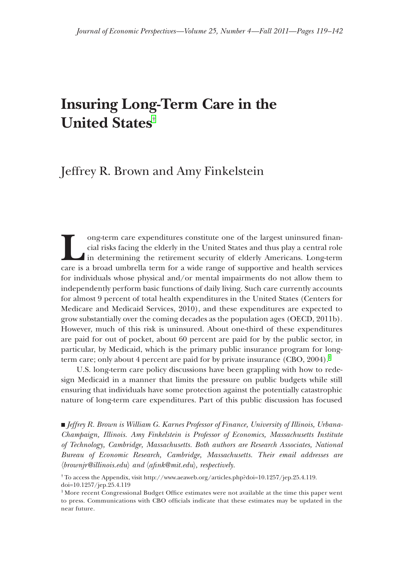# **Insuring Long-Term Care in the United States**†

## Jeffrey R. Brown and Amy Finkelstein

long-term care expenditures constitute one of the largest uninsured financial risks facing the elderly in the United States and thus play a central role in determining the retirement security of elderly Americans. Long-ter cial risks facing the elderly in the United States and thus play a central role in determining the retirement security of elderly Americans. Long-term care is a broad umbrella term for a wide range of supportive and health services for individuals whose physical and/or mental impairments do not allow them to independently perform basic functions of daily living. Such care currently accounts for almost 9 percent of total health expenditures in the United States (Centers for Medicare and Medicaid Services, 2010), and these expenditures are expected to grow substantially over the coming decades as the population ages (OECD, 2011b). However, much of this risk is uninsured. About one-third of these expenditures are paid for out of pocket, about 60 percent are paid for by the public sector, in particular, by Medicaid, which is the primary public insurance program for longterm care; only about 4 percent are paid for by private insurance  $(CBO, 2004).$ 

U.S. long-term care policy discussions have been grappling with how to redesign Medicaid in a manner that limits the pressure on public budgets while still ensuring that individuals have some protection against the potentially catastrophic nature of long-term care expenditures. Part of this public discussion has focused

■ *Jeffrey R. Brown is William G. Karnes Professor of Finance, University of Illinois, Urbana-Champaign, Illinois. Amy Finkelstein is Professor of Economics, Massachusetts Institute of Technology, Cambridge, Massachusetts. Both authors are Research Associates, National Bureau of Economic Research, Cambridge, Massachusetts. Their email addresses are*  〈*brownjr@illinois.edu*〉 *and* 〈*afi nk@mit.edu*〉*, respectively.*

<sup>†</sup> To access the Appendix, visit http://www.aeaweb.org/articles.php?doi=10.1257/jep.25.4.119. doi=10.1257/jep.25.4.119

 $<sup>1</sup>$  More recent Congressional Budget Office estimates were not available at the time this paper went</sup> to press. Communications with CBO officials indicate that these estimates may be updated in the near future.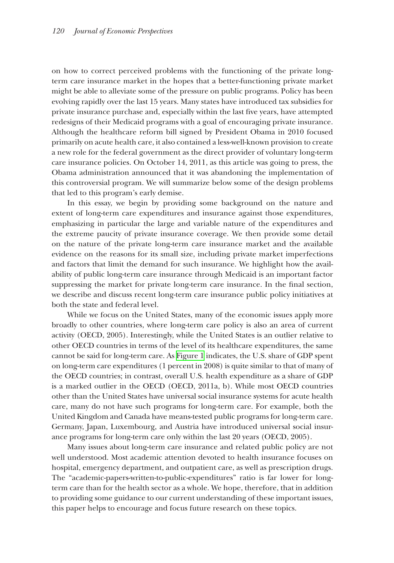on how to correct perceived problems with the functioning of the private longterm care insurance market in the hopes that a better-functioning private market might be able to alleviate some of the pressure on public programs. Policy has been evolving rapidly over the last 15 years. Many states have introduced tax subsidies for private insurance purchase and, especially within the last five years, have attempted redesigns of their Medicaid programs with a goal of encouraging private insurance. Although the healthcare reform bill signed by President Obama in 2010 focused primarily on acute health care, it also contained a less-well-known provision to create a new role for the federal government as the direct provider of voluntary long-term new role for the federal government as the direct provider of voluntary long-term care insurance policies. On October 14, 2011, as this article was going to press, the Obama administration announced that it was abandoning the implementation of this controversial program. We will summarize below some of the design problems his controversial program. We will summarize below some of the design problems that led to this program's early demise.

In this essay, we begin by providing some background on the nature and extent of long-term care expenditures and insurance against those expenditures, emphasizing in particular the large and variable nature of the expenditures and mphasizing in particular the large and variable nature of the expenditures and the extreme paucity of private insurance coverage. We then provide some detail on the nature of the private long-term care insurance market and the available evidence on the reasons for its small size, including private market imperfections and factors that limit the demand for such insurance. We highlight how the availability of public long-term care insurance through Medicaid is an important factor bility of public long-term care insurance through Medicaid is an important factor suppressing the market for private long-term care insurance. In the final section, we describe and discuss recent long-term care insurance public policy initiatives at both the state and federal level.

While we focus on the United States, many of the economic issues apply more broadly to other countries, where long-term care policy is also an area of current activity (OECD, 2005). Interestingly, while the United States is an outlier relative to other OECD countries in terms of the level of its healthcare expenditures, the same ther OECD countries in terms of the level of its healthcare expenditures, the same cannot be said for long-term care. As [Figure 1](#page-2-0) indicates, the U.S. share of GDP spent on long-term care expenditures  $(1$  percent in 2008) is quite similar to that of many of the OECD countries; in contrast, overall U.S. health expenditure as a share of GDP is a marked outlier in the OECD (OECD,  $2011a$ , b). While most OECD countries other than the United States have universal social insurance systems for acute health care, many do not have such programs for long-term care. For example, both the United Kingdom and Canada have means-tested public programs for long-term care. Germany, Japan, Luxembourg, and Austria have introduced universal social insurance programs for long-term care only within the last 20 years (OECD, 2005).

Many issues about long-term care insurance and related public policy are not well understood. Most academic attention devoted to health insurance focuses on hospital, emergency department, and outpatient care, as well as prescription drugs. The "academic-papers-written-to-public-expenditures" ratio is far lower for longterm care than for the health sector as a whole. We hope, therefore, that in addition to providing some guidance to our current understanding of these important issues, this paper helps to encourage and focus future research on these topics.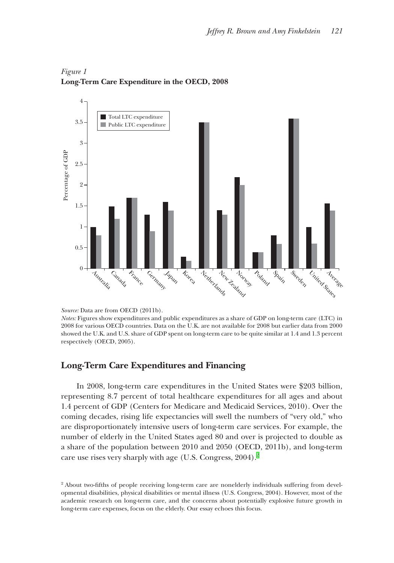

## <span id="page-2-0"></span>*Figure 1* **Long-Term Care Expenditure in the OECD, 2008**

*Source:* Data are from OECD (2011b).

*Notes:* Figures show expenditures and public expenditures as a share of GDP on long-term care (LTC) in 2008 for various OECD countries. Data on the U.K. are not available for 2008 but earlier data from 2000 showed the U.K. and U.S. share of GDP spent on long-term care to be quite similar at 1.4 and 1.3 percent

## **Long-Term Care Expenditures and Financing ong-Term Care Expenditures and**

In 2008, long-term care expenditures in the United States were \$203 billion, representing 8.7 percent of total healthcare expenditures for all ages and about 1.4 percent of GDP (Centers for Medicare and Medicaid Services, 2010). Over the coming decades, rising life expectancies will swell the numbers of "very old," who are disproportionately intensive users of long-term care services. For example, the number of elderly in the United States aged 80 and over is projected to double as a share of the population between 2010 and 2050 (OECD, 2011b), and long-term care use rises very sharply with age (U.S. Congress,  $2004$ ).<sup>2</sup>

<sup>&</sup>lt;sup>2</sup> About two-fifths of people receiving long-term care are nonelderly individuals suffering from developmental disabilities, physical disabilities or mental illness (U.S. Congress, 2004). However, most of the academic research on long-term care, and the concerns about potentially explosive future growth in long-term care expenses, focus on the elderly. Our essay echoes this focus.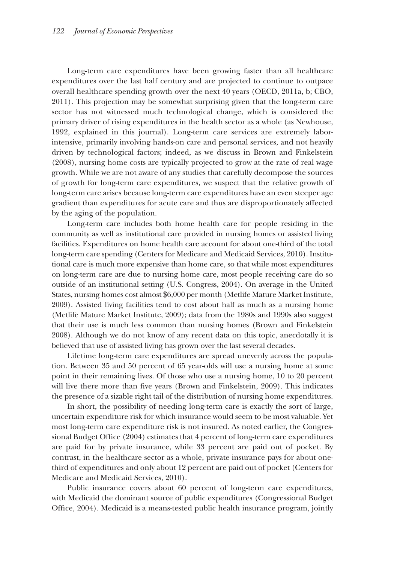Long-term care expenditures have been growing faster than all healthcare expenditures over the last half century and are projected to continue to outpace xpenditures over the last half century and are projected to continue to outpace overall healthcare spending growth over the next  $40$  years (OECD, 2011a, b; CBO,  $2011$ ). This projection may be somewhat surprising given that the long-term care sector has not witnessed much technological change, which is considered the primary driver of rising expenditures in the health sector as a whole (as Newhouse, 1992, explained in this journal). Long-term care services are extremely laborintensive, primarily involving hands-on care and personal services, and not heavily driven by technological factors; indeed, as we discuss in Brown and Finkelstein riven by technological factors; indeed, as we discuss in Brown and Finkelstein  $(2008)$ , nursing home costs are typically projected to grow at the rate of real wage growth. While we are not aware of any studies that carefully decompose the sources of growth for long-term care expenditures, we suspect that the relative growth of long-term care arises because long-term care expenditures have an even steeper age gradient than expenditures for acute care and thus are disproportionately affected by the aging of the population.

Long-term care includes both home health care for people residing in the community as well as institutional care provided in nursing homes or assisted living facilities. Expenditures on home health care account for about one-third of the total long-term care spending (Centers for Medicare and Medicaid Services, 2010). Institutional care is much more expensive than home care, so that while most expenditures on long-term care are due to nursing home care, most people receiving care do so outside of an institutional setting (U.S. Congress, 2004). On average in the United States, nursing homes cost almost \$6,000 per month (Metlife Mature Market Institute, 2009). Assisted living facilities tend to cost about half as much as a nursing home (Metlife Mature Market Institute,  $2009$ ); data from the 1980s and 1990s also suggest that their use is much less common than nursing homes (Brown and Finkelstein hat their use is much less common than nursing homes (Brown and Finkelstein 2008). Although we do not know of any recent data on this topic, anecdotally it is believed that use of assisted living has grown over the last several decades.

Lifetime long-term care expenditures are spread unevenly across the population. Between 35 and 50 percent of 65 year-olds will use a nursing home at some point in their remaining lives. Of those who use a nursing home, 10 to 20 percent will live there more than five years (Brown and Finkelstein, 2009). This indicates the presence of a sizable right tail of the distribution of nursing home expenditures.

In short, the possibility of needing long-term care is exactly the sort of large, uncertain expenditure risk for which insurance would seem to be most valuable. Yet most long-term care expenditure risk is not insured. As noted earlier, the Congressional Budget Office (2004) estimates that 4 percent of long-term care expenditures are paid for by private insurance, while 33 percent are paid out of pocket. By contrast, in the healthcare sector as a whole, private insurance pays for about onethird of expenditures and only about 12 percent are paid out of pocket (Centers for hird of expenditures and only about 12 percent are paid out of pocket (Centers for Medicare and Medicaid Services, 2010).

Public insurance covers about 60 percent of long-term care expenditures, with Medicaid the dominant source of public expenditures (Congressional Budget Office, 2004). Medicaid is a means-tested public health insurance program, jointly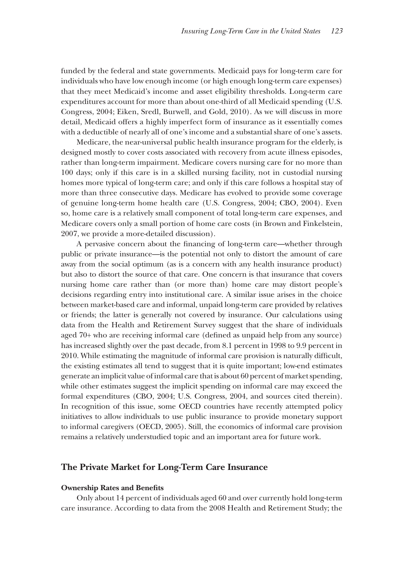funded by the federal and state governments. Medicaid pays for long-term care for individuals who have low enough income (or high enough long-term care expenses) that they meet Medicaid's income and asset eligibility thresholds. Long-term care hat they meet Medicaid's income and asset eligibility thresholds. Long-term care expenditures account for more than about one-third of all Medicaid spending (U.S. Congress, 2004; Eiken, Sredl, Burwell, and Gold, 2010). As we will discuss in more detail, Medicaid offers a highly imperfect form of insurance as it essentially comes with a deductible of nearly all of one's income and a substantial share of one's assets.

Medicare, the near-universal public health insurance program for the elderly, is designed mostly to cover costs associated with recovery from acute illness episodes, rather than long-term impairment. Medicare covers nursing care for no more than 100 days; only if this care is in a skilled nursing facility, not in custodial nursing 00 days; only if this care is in a skilled nursing facility, not in custodial nursing homes more typical of long-term care; and only if this care follows a hospital stay of more than three consecutive days. Medicare has evolved to provide some coverage of genuine long-term home health care (U.S. Congress, 2004; CBO, 2004). Even so, home care is a relatively small component of total long-term care expenses, and Medicare covers only a small portion of home care costs (in Brown and Finkelstein, 2007, we provide a more-detailed discussion).

A pervasive concern about the financing of long-term care—whether through public or private insurance—is the potential not only to distort the amount of care away from the social optimum (as is a concern with any health insurance product) but also to distort the source of that care. One concern is that insurance that covers nursing home care rather than (or more than) home care may distort people's decisions regarding entry into institutional care. A similar issue arises in the choice between market-based care and informal, unpaid long-term care provided by relatives or friends; the latter is generally not covered by insurance. Our calculations using data from the Health and Retirement Survey suggest that the share of individuals aged 70+ who are receiving informal care (defined as unpaid help from any source) has increased slightly over the past decade, from 8.1 percent in 1998 to 9.9 percent in 2010. While estimating the magnitude of informal care provision is naturally difficult, the existing estimates all tend to suggest that it is quite important; low-end estimates generate an implicit value of informal care that is about 60 percent of market spending, while other estimates suggest the implicit spending on informal care may exceed the formal expenditures (CBO, 2004; U.S. Congress, 2004, and sources cited therein). In recognition of this issue, some OECD countries have recently attempted policy initiatives to allow individuals to use public insurance to provide monetary support to informal caregivers (OECD, 2005). Still, the economics of informal care provision remains a relatively understudied topic and an important area for future work.

#### **The Private Market for Long-Term Care Insurance he Private Market for Long-Term Care**

#### **Ownership Rates and Benefits**

Only about 14 percent of individuals aged 60 and over currently hold long-term care insurance. According to data from the 2008 Health and Retirement Study; the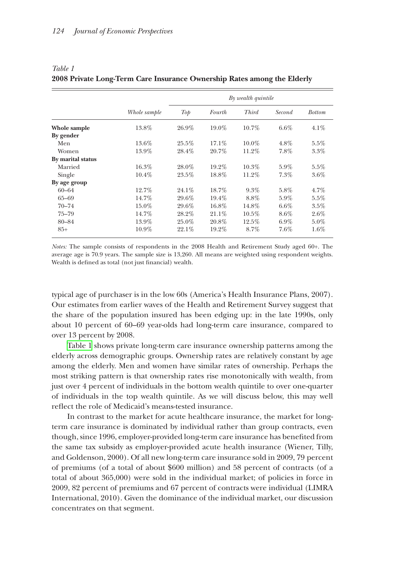|                   | Whole sample | By wealth quintile |          |              |         |               |
|-------------------|--------------|--------------------|----------|--------------|---------|---------------|
|                   |              | Top                | Fourth   | <b>Third</b> | Second  | <b>Bottom</b> |
| Whole sample      | 13.8%        | $26.9\%$           | $19.0\%$ | $10.7\%$     | $6.6\%$ | $4.1\%$       |
| By gender         |              |                    |          |              |         |               |
| Men               | 13.6%        | 25.5%              | $17.1\%$ | $10.0\%$     | $4.8\%$ | $5.5\%$       |
| Women             | 13.9%        | 28.4%              | $20.7\%$ | 11.2%        | 7.8%    | 3.3%          |
| By marital status |              |                    |          |              |         |               |
| Married           | 16.3%        | $28.0\%$           | 19.2%    | $10.3\%$     | $5.9\%$ | $5.5\%$       |
| Single            | $10.4\%$     | $23.5\%$           | 18.8%    | 11.2%        | 7.3%    | 3.6%          |
| By age group      |              |                    |          |              |         |               |
| $60 - 64$         | 12.7%        | $24.1\%$           | 18.7%    | 9.3%         | 5.8%    | 4.7%          |
| $65 - 69$         | 14.7%        | $29.6\%$           | 19.4%    | 8.8%         | $5.9\%$ | $5.5\%$       |
| $70 - 74$         | 15.0%        | 29.6%              | 16.8%    | 14.8%        | $6.6\%$ | 3.5%          |
| $75 - 79$         | 14.7%        | 28.2%              | $21.1\%$ | $10.5\%$     | $8.6\%$ | $2.6\%$       |
| 80-84             | 13.9%        | $25.0\%$           | 20.8%    | 12.5%        | $6.9\%$ | $5.0\%$       |
| $85+$             | $10.9\%$     | $22.1\%$           | 19.2%    | $8.7\%$      | 7.6%    | $1.6\%$       |

## <span id="page-5-0"></span>*Table 1* **2008 Private Long-Term Care Insurance Ownership Rates among the Elderly**

*Notes:* The sample consists of respondents in the 2008 Health and Retirement Study aged 60+. The average age is 70.9 years. The sample size is 13,260. All means are weighted using respondent weights. Wealth is defined as total (not just financial) wealth.

typical age of purchaser is in the low 60s (America's Health Insurance Plans, 2007). Our estimates from earlier waves of the Health and Retirement Survey suggest that the share of the population insured has been edging up: in the late 1990s, only about 10 percent of 60–69 year-olds had long-term care insurance, compared to over  $13$  percent by  $2008$ .

Table 1 shows private long-term care insurance ownership patterns among the elderly across demographic groups. Ownership rates are relatively constant by age among the elderly. Men and women have similar rates of ownership. Perhaps the most striking pattern is that ownership rates rise monotonically with wealth, from just over 4 percent of individuals in the bottom wealth quintile to over one-quarter of individuals in the top wealth quintile. As we will discuss below, this may well reflect the role of Medicaid's means-tested insurance.

In contrast to the market for acute healthcare insurance, the market for longterm care insurance is dominated by individual rather than group contracts, even though, since 1996, employer-provided long-term care insurance has benefited from the same tax subsidy as employer-provided acute health insurance (Wiener, Tilly, and Goldenson, 2000). Of all new long-term care insurance sold in 2009, 79 percent of premiums (of a total of about  $$600$  million) and 58 percent of contracts (of a total of about  $365,000$ ) were sold in the individual market; of policies in force in 2009, 82 percent of premiums and 67 percent of contracts were individual (LIMRA) International,  $2010$ ). Given the dominance of the individual market, our discussion concentrates on that segment.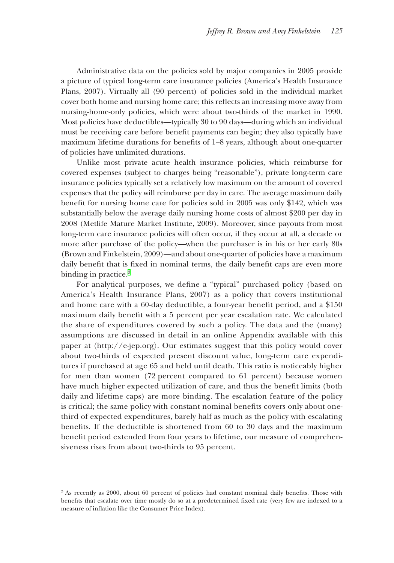Administrative data on the policies sold by major companies in 2005 provide a picture of typical long-term care insurance policies (America's Health Insurance Plans, 2007). Virtually all (90 percent) of policies sold in the individual market cover both home and nursing home care; this reflects an increasing move away from nursing-home-only policies, which were about two-thirds of the market in 1990. Most policies have deductibles—typically 30 to 90 days—during which an individual must be receiving care before benefit payments can begin; they also typically have maximum lifetime durations for benefits of  $1-8$  years, although about one-quarter of policies have unlimited durations.

Unlike most private acute health insurance policies, which reimburse for covered expenses (subject to charges being "reasonable"), private long-term care insurance policies typically set a relatively low maximum on the amount of covered expenses that the policy will reimburse per day in care. The average maximum daily benefit for nursing home care for policies sold in 2005 was only \$142, which was substantially below the average daily nursing home costs of almost \$200 per day in 2008 (Metlife Mature Market Institute, 2009). Moreover, since payouts from most long-term care insurance policies will often occur, if they occur at all, a decade or more after purchase of the policy—when the purchaser is in his or her early 80s (Brown and Finkelstein, 2009)—and about one-quarter of policies have a maximum daily benefit that is fixed in nominal terms, the daily benefit caps are even more binding in practice.<sup>3</sup>

For analytical purposes, we define a "typical" purchased policy (based on America's Health Insurance Plans, 2007) as a policy that covers institutional and home care with a 60-day deductible, a four-year benefit period, and a  $$150$ maximum daily benefit with a 5 percent per year escalation rate. We calculated the share of expenditures covered by such a policy. The data and the (many) assumptions are discussed in detail in an online Appendix available with this paper at  $\langle \text{http://e-jep.org}\rangle$ . Our estimates suggest that this policy would cover about two-thirds of expected present discount value, long-term care expenditures if purchased at age 65 and held until death. This ratio is noticeably higher for men than women  $(72)$  percent compared to 61 percent) because women have much higher expected utilization of care, and thus the benefit limits (both daily and lifetime caps) are more binding. The escalation feature of the policy is critical; the same policy with constant nominal benefits covers only about onethird of expected expenditures, barely half as much as the policy with escalating benefits. If the deductible is shortened from  $60$  to 30 days and the maximum benefit period extended from four years to lifetime, our measure of comprehensiveness rises from about two-thirds to 95 percent.

 $3$  As recently as 2000, about 60 percent of policies had constant nominal daily benefits. Those with benefits that escalate over time mostly do so at a predetermined fixed rate (very few are indexed to a measure of inflation like the Consumer Price Index).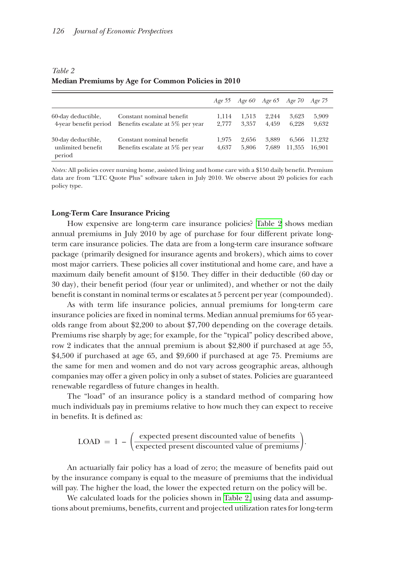|                                                   |                                                              |                |                | Age 55 Age 60 Age 65 Age 70 |                 | Age 75           |
|---------------------------------------------------|--------------------------------------------------------------|----------------|----------------|-----------------------------|-----------------|------------------|
| 60-day deductible,<br>4-year benefit period       | Constant nominal benefit<br>Benefits escalate at 5% per year | 1.114<br>2.777 | 1.513<br>3.357 | 2.244<br>4.459              | 3.623<br>6.228  | 5,909<br>9,632   |
| 30-day deductible,<br>unlimited benefit<br>period | Constant nominal benefit<br>Benefits escalate at 5% per year | 1.975<br>4.637 | 2.656<br>5.806 | 3.889<br>7.689              | 6.566<br>11.355 | 11.232<br>16.901 |

#### <span id="page-7-0"></span>*Table 2* **Median Premiums by Age for Common Policies in 2010**

*Notes:* All policies cover nursing home, assisted living and home care with a \$150 daily benefit. Premium data are from "LTC Quote Plus" software taken in July 2010. We observe about 20 policies for each policy type.

#### **Long-Term Care Insurance Pricing ong-Term Care Insurance**

How expensive are long-term care insurance policies? Table 2 shows median annual premiums in July 2010 by age of purchase for four different private longterm care insurance policies. The data are from a long-term care insurance software package (primarily designed for insurance agents and brokers), which aims to cover most major carriers. These policies all cover institutional and home care, and have a maximum daily benefit amount of  $$150$ . They differ in their deductible (60 day or 30 day), their benefit period (four year or unlimited), and whether or not the daily benefit is constant in nominal terms or escalates at 5 percent per year (compounded).

As with term life insurance policies, annual premiums for long-term care insurance policies are fixed in nominal terms. Median annual premiums for 65 yearolds range from about  $2,200$  to about  $7,700$  depending on the coverage details. Premiums rise sharply by age; for example, for the "typical" policy described above, row 2 indicates that the annual premium is about  $$2,800$  if purchased at age 55,  $$4,500$  if purchased at age 65, and  $$9,600$  if purchased at age 75. Premiums are the same for men and women and do not vary across geographic areas, although companies may offer a given policy in only a subset of states. Policies are guaranteed renewable regardless of future changes in health.

The "load" of an insurance policy is a standard method of comparing how much individuals pay in premiums relative to how much they can expect to receive in benefits. It is defined as: The "load" of an insurance policy is a standard method of comparison.<br>The "load" of an insurance policy is a standard method of comparison.<br>In benefits. It is defined as:<br>LOAD =  $1 - \left(\frac{\text{expected present discounted value of benefits}}{\text{expected present discounted value of premiums}}\right)$ 

$$
LOAD = 1 - \left(\frac{\text{expected present discounted value of benefits}}{\text{expected present discounted value of premiums}}\right).
$$

An actuarially fair policy has a load of zero; the measure of benefits paid out by the insurance company is equal to the measure of premiums that the individual will pay. The higher the load, the lower the expected return on the policy will be.

We calculated loads for the policies shown in Table 2, using data and assumptions about premiums, benefits, current and projected utilization rates for long-term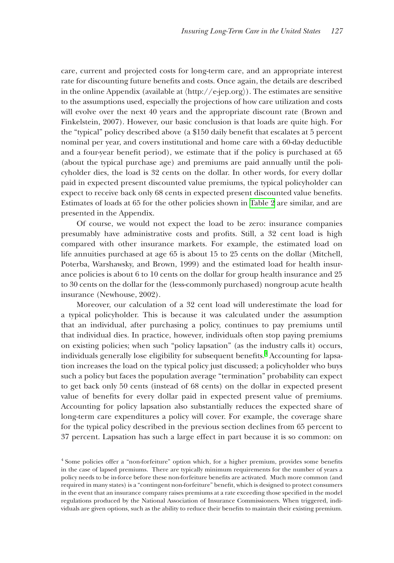care, current and projected costs for long-term care, and an appropriate interest rate for discounting future benefits and costs. Once again, the details are described in the online Appendix (available at  $\langle$ http://e-jep.org $\rangle$ ). The estimates are sensitive to the assumptions used, especially the projections of how care utilization and costs will evolve over the next 40 years and the appropriate discount rate (Brown and Finkelstein, 2007). However, our basic conclusion is that loads are quite high. For the "typical" policy described above (a \$150 daily benefit that escalates at 5 percent nominal per year, and covers institutional and home care with a 60-day deductible and a four-year benefit period), we estimate that if the policy is purchased at 65 (about the typical purchase age) and premiums are paid annually until the policyholder dies, the load is 32 cents on the dollar. In other words, for every dollar paid in expected present discounted value premiums, the typical policyholder can expect to receive back only 68 cents in expected present discounted value benefits. Estimates of loads at 65 for the other policies shown in [Table 2](#page-7-0) are similar, and are presented in the Appendix.

Of course, we would not expect the load to be zero: insurance companies presumably have administrative costs and profits. Still, a 32 cent load is high compared with other insurance markets. For example, the estimated load on life annuities purchased at age 65 is about 15 to 25 cents on the dollar (Mitchell, Poterba, Warshawsky, and Brown, 1999) and the estimated load for health insurance policies is about 6 to 10 cents on the dollar for group health insurance and  $25$ to 30 cents on the dollar for the (less-commonly purchased) nongroup acute health insurance (Newhouse, 2002).

Moreover, our calculation of a 32 cent load will underestimate the load for a typical policyholder. This is because it was calculated under the assumption that an individual, after purchasing a policy, continues to pay premiums until hat an individual, after purchasing a policy, continues to pay premiums until that individual dies. In practice, however, individuals often stop paying premiums hat individual dies. In practice, however, individuals often stop paying premiums on existing policies; when such "policy lapsation" (as the industry calls it) occurs, individuals generally lose eligibility for subsequent benefits. $^4$  Accounting for lapsation increases the load on the typical policy just discussed; a policyholder who buys such a policy but faces the population average "termination" probability can expect to get back only  $50$  cents (instead of  $68$  cents) on the dollar in expected present value of benefits for every dollar paid in expected present value of premiums. Accounting for policy lapsation also substantially reduces the expected share of long-term care expenditures a policy will cover. For example, the coverage share for the typical policy described in the previous section declines from 65 percent to 37 percent. Lapsation has such a large effect in part because it is so common: on

<sup>&</sup>lt;sup>4</sup> Some policies offer a "non-forfeiture" option which, for a higher premium, provides some benefits in the case of lapsed premiums. There are typically minimum requirements for the number of years a policy needs to be in-force before these non-forfeiture benefits are activated. Much more common (and required in many states) is a "contingent non-forfeiture" benefit, which is designed to protect consumers in the event that an insurance company raises premiums at a rate exceeding those specified in the model regulations produced by the National Association of Insurance Commissioners. When triggered, individuals are given options, such as the ability to reduce their benefits to maintain their existing premium.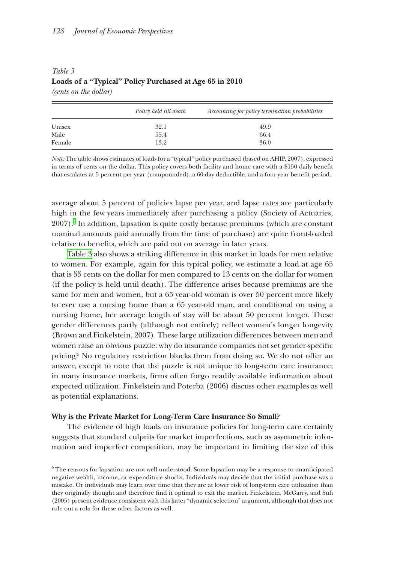|        | Policy held till death | Accounting for policy termination probabilities |
|--------|------------------------|-------------------------------------------------|
| Unisex | 32.1                   | 49.9                                            |
| Male   | 55.4                   | 66.4                                            |
| Female | 13.2                   | 36.0                                            |

## <span id="page-9-0"></span>*Table 3* **Loads of a "Typical" Policy Purchased at Age 65 in 2010**  *(cents on the dollar)*

*Note:* The table shows estimates of loads for a "typical" policy purchased (based on AHIP, 2007), expressed in terms of cents on the dollar. This policy covers both facility and home care with a \$150 daily benefit that escalates at 5 percent per year (compounded), a 60-day deductible, and a four-year benefit period.

average about 5 percent of policies lapse per year, and lapse rates are particularly high in the few years immediately after purchasing a policy (Society of Actuaries, 2007).<sup>5</sup> In addition, lapsation is quite costly because premiums (which are constant nominal amounts paid annually from the time of purchase) are quite front-loaded relative to benefits, which are paid out on average in later years.

Table 3 also shows a striking difference in this market in loads for men relative to women. For example, again for this typical policy, we estimate a load at age 65 that is 55 cents on the dollar for men compared to 13 cents on the dollar for women (if the policy is held until death). The difference arises because premiums are the same for men and women, but a 65 year-old woman is over 50 percent more likely to ever use a nursing home than a 65 year-old man, and conditional on using a nursing home, her average length of stay will be about 50 percent longer. These gender differences partly (although not entirely) reflect women's longer longevity (Brown and Finkelstein, 2007). These large utilization differences between men and women raise an obvious puzzle: why do insurance companies not set gender-specific pricing? No regulatory restriction blocks them from doing so. We do not offer an answer, except to note that the puzzle is not unique to long-term care insurance; in many insurance markets, firms often forgo readily available information about expected utilization. Finkelstein and Poterba (2006) discuss other examples as well as potential explanations.

#### **Why is the Private Market for Long-Term Care Insurance So Small? hy is the Private Market for Long-Term Care Insurance So**

The evidence of high loads on insurance policies for long-term care certainly suggests that standard culprits for market imperfections, such as asymmetric information and imperfect competition, may be important in limiting the size of this

<sup>5</sup> The reasons for lapsation are not well understood. Some lapsation may be a response to unanticipated negative wealth, income, or expenditure shocks. Individuals may decide that the initial purchase was a mistake. Or individuals may learn over time that they are at lower risk of long-term care utilization than they originally thought and therefore find it optimal to exit the market. Finkelstein, McGarry, and Sufi (2005) present evidence consistent with this latter "dynamic selection" argument, although that does not rule out a role for these other factors as well.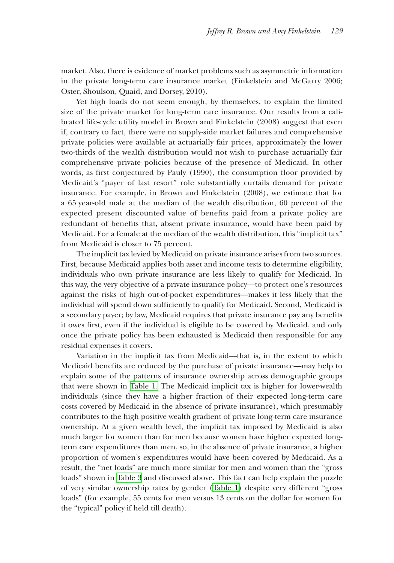market. Also, there is evidence of market problems such as asymmetric information in the private long-term care insurance market (Finkelstein and McGarry 2006; Oster, Shoulson, Quaid, and Dorsey, 2010).

Yet high loads do not seem enough, by themselves, to explain the limited size of the private market for long-term care insurance. Our results from a calibrated life-cycle utility model in Brown and Finkelstein (2008) suggest that even if, contrary to fact, there were no supply-side market failures and comprehensive private policies were available at actuarially fair prices, approximately the lower two-thirds of the wealth distribution would not wish to purchase actuarially fair comprehensive private policies because of the presence of Medicaid. In other words, as first conjectured by Pauly (1990), the consumption floor provided by Medicaid's "payer of last resort" role substantially curtails demand for private insurance. For example, in Brown and Finkelstein (2008), we estimate that for a 65 year-old male at the median of the wealth distribution, 60 percent of the expected present discounted value of benefits paid from a private policy are redundant of benefits that, absent private insurance, would have been paid by Medicaid. For a female at the median of the wealth distribution, this "implicit tax" from Medicaid is closer to 75 percent.

The implicit tax levied by Medicaid on private insurance arises from two sources. First, because Medicaid applies both asset and income tests to determine eligibility, individuals who own private insurance are less likely to qualify for Medicaid. In this way, the very objective of a private insurance policy—to protect one's resources his way, the very objective of a private insurance policy—to protect one's resources against the risks of high out-of-pocket expenditures—makes it less likely that the individual will spend down sufficiently to qualify for Medicaid. Second, Medicaid is a secondary payer; by law, Medicaid requires that private insurance pay any benefits it owes first, even if the individual is eligible to be covered by Medicaid, and only once the private policy has been exhausted is Medicaid then responsible for any residual expenses it covers.

Variation in the implicit tax from Medicaid—that is, in the extent to which Medicaid benefits are reduced by the purchase of private insurance—may help to explain some of the patterns of insurance ownership across demographic groups that were shown in [Table 1.](#page-5-0) The Medicaid implicit tax is higher for lower-wealth hat were shown in Table 1. The Medicaid implicit tax is higher for lower-wealth individuals (since they have a higher fraction of their expected long-term care costs covered by Medicaid in the absence of private insurance), which presumably contributes to the high positive wealth gradient of private long-term care insurance ownership. At a given wealth level, the implicit tax imposed by Medicaid is also much larger for women than for men because women have higher expected longterm care expenditures than men, so, in the absence of private insurance, a higher proportion of women's expenditures would have been covered by Medicaid. As a result, the "net loads" are much more similar for men and women than the "gross" loads" shown in [Table 3](#page-9-0) and discussed above. This fact can help explain the puzzle of very similar ownership rates by gender [\(Table 1\)](#page-5-0) despite very different "gross loads" (for example, 55 cents for men versus 13 cents on the dollar for women for the "typical" policy if held till death).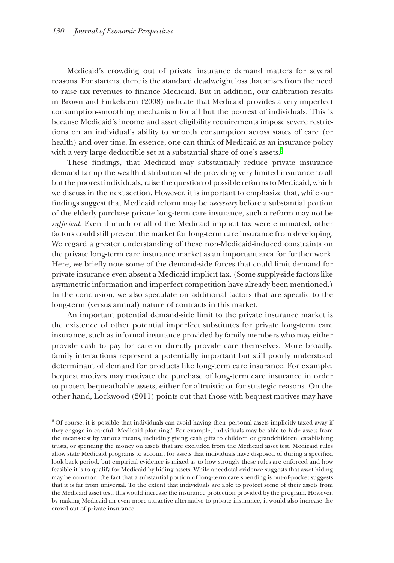Medicaid's crowding out of private insurance demand matters for several reasons. For starters, there is the standard deadweight loss that arises from the need to raise tax revenues to finance Medicaid. But in addition, our calibration results in Brown and Finkelstein (2008) indicate that Medicaid provides a very imperfect consumption-smoothing mechanism for all but the poorest of individuals. This is because Medicaid's income and asset eligibility requirements impose severe restrictions on an individual's ability to smooth consumption across states of care (or ions on an individual's ability to smooth consumption across states of care (or health) and over time. In essence, one can think of Medicaid as an insurance policy with a very large deductible set at a substantial share of one's assets. $^6$ 

These findings, that Medicaid may substantially reduce private insurance demand far up the wealth distribution while providing very limited insurance to all but the poorest individuals, raise the question of possible reforms to Medicaid, which we discuss in the next section. However, it is important to emphasize that, while our findings suggest that Medicaid reform may be *necessary* before a substantial portion of the elderly purchase private long-term care insurance, such a reform may not be *sufficient*. Even if much or all of the Medicaid implicit tax were eliminated, other factors could still prevent the market for long-term care insurance from developing. We regard a greater understanding of these non-Medicaid-induced constraints on the private long-term care insurance market as an important area for further work. Here, we briefly note some of the demand-side forces that could limit demand for private insurance even absent a Medicaid implicit tax. (Some supply-side factors like asymmetric information and imperfect competition have already been mentioned.) In the conclusion, we also speculate on additional factors that are specific to the long-term (versus annual) nature of contracts in this market.

An important potential demand-side limit to the private insurance market is the existence of other potential imperfect substitutes for private long-term care insurance, such as informal insurance provided by family members who may either provide cash to pay for care or directly provide care themselves. More broadly, family interactions represent a potentially important but still poorly understood determinant of demand for products like long-term care insurance. For example, bequest motives may motivate the purchase of long-term care insurance in order to protect bequeathable assets, either for altruistic or for strategic reasons. On the other hand, Lockwood (2011) points out that those with bequest motives may have ther hand, Lockwood (2011) points out that those with bequest motives may have

6 Of course, it is possible that individuals can avoid having their personal assets implicitly taxed away if they engage in careful "Medicaid planning." For example, individuals may be able to hide assets from the means-test by various means, including giving cash gifts to children or grandchildren, establishing trusts, or spending the money on assets that are excluded from the Medicaid asset test. Medicaid rules allow state Medicaid programs to account for assets that individuals have disposed of during a specified look-back period, but empirical evidence is mixed as to how strongly these rules are enforced and how feasible it is to qualify for Medicaid by hiding assets. While anecdotal evidence suggests that asset hiding may be common, the fact that a substantial portion of long-term care spending is out-of-pocket suggests that it is far from universal. To the extent that individuals are able to protect some of their assets from the Medicaid asset test, this would increase the insurance protection provided by the program. However, by making Medicaid an even more-attractive alternative to private insurance, it would also increase the crowd-out of private insurance.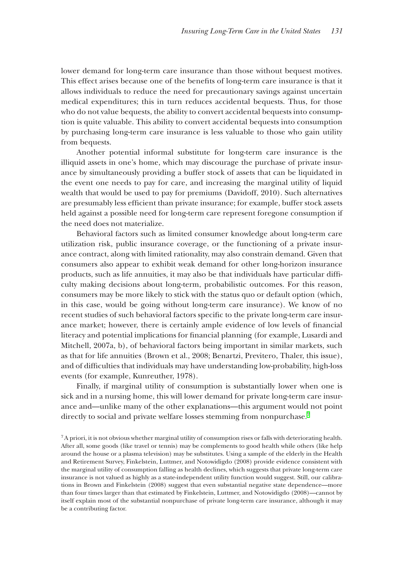lower demand for long-term care insurance than those without bequest motives. This effect arises because one of the benefits of long-term care insurance is that it allows individuals to reduce the need for precautionary savings against uncertain medical expenditures; this in turn reduces accidental bequests. Thus, for those who do not value bequests, the ability to convert accidental bequests into consumption is quite valuable. This ability to convert accidental bequests into consumption by purchasing long-term care insurance is less valuable to those who gain utility from bequests.

Another potential informal substitute for long-term care insurance is the illiquid assets in one's home, which may discourage the purchase of private insurance by simultaneously providing a buffer stock of assets that can be liquidated in the event one needs to pay for care, and increasing the marginal utility of liquid wealth that would be used to pay for premiums (Davidoff, 2010). Such alternatives are presumably less efficient than private insurance; for example, buffer stock assets held against a possible need for long-term care represent foregone consumption if the need does not materialize.

Behavioral factors such as limited consumer knowledge about long-term care utilization risk, public insurance coverage, or the functioning of a private insurance contract, along with limited rationality, may also constrain demand. Given that consumers also appear to exhibit weak demand for other long-horizon insurance products, such as life annuities, it may also be that individuals have particular difficulty making decisions about long-term, probabilistic outcomes. For this reason, consumers may be more likely to stick with the status quo or default option (which, in this case, would be going without long-term care insurance). We know of no recent studies of such behavioral factors specific to the private long-term care insurance market; however, there is certainly ample evidence of low levels of financial literacy and potential implications for financial planning (for example, Lusardi and Mitchell, 2007a, b), of behavioral factors being important in similar markets, such as that for life annuities (Brown et al., 2008; Benartzi, Previtero, Thaler, this issue), and of difficulties that individuals may have understanding low-probability, high-loss events (for example, Kunreuther, 1978).

Finally, if marginal utility of consumption is substantially lower when one is sick and in a nursing home, this will lower demand for private long-term care insurance and—unlike many of the other explanations—this argument would not point directly to social and private welfare losses stemming from nonpurchase. $^7$ 

 $7A$  priori, it is not obvious whether marginal utility of consumption rises or falls with deteriorating health. After all, some goods (like travel or tennis) may be complements to good health while others (like help around the house or a plasma television) may be substitutes. Using a sample of the elderly in the Health and Retirement Survey, Finkelstein, Luttmer, and Notowidigdo (2008) provide evidence consistent with the marginal utility of consumption falling as health declines, which suggests that private long-term care insurance is not valued as highly as a state-independent utility function would suggest. Still, our calibrations in Brown and Finkelstein (2008) suggest that even substantial negative state dependence—more than four times larger than that estimated by Finkelstein, Luttmer, and Notowidigdo (2008)—cannot by itself explain most of the substantial nonpurchase of private long-term care insurance, although it may be a contributing factor.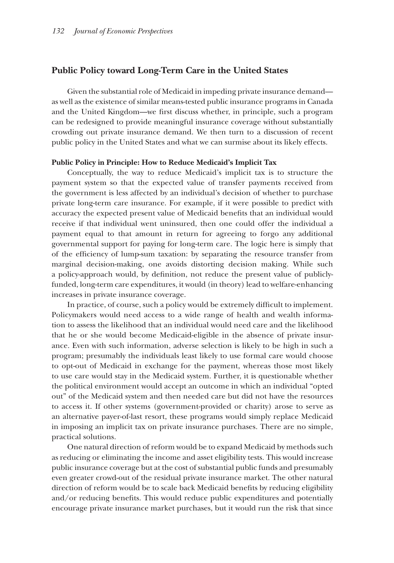#### **Public Policy toward Long-Term Care in the United States**

Given the substantial role of Medicaid in impeding private insurance demand as well as the existence of similar means-tested public insurance programs in Canada and the United Kingdom—we first discuss whether, in principle, such a program rst discuss whether, in principle, such a program can be redesigned to provide meaningful insurance coverage without substantially crowding out private insurance demand. We then turn to a discussion of recent public policy in the United States and what we can surmise about its likely effects.

#### **Public Policy in Principle: How to Reduce Medicaid's Implicit Tax ublic Policy in Principle: How to Reduce Medicaid's Implicit**

Conceptually, the way to reduce Medicaid's implicit tax is to structure the payment system so that the expected value of transfer payments received from the government is less affected by an individual's decision of whether to purchase private long-term care insurance. For example, if it were possible to predict with accuracy the expected present value of Medicaid benefits that an individual would receive if that individual went uninsured, then one could offer the individual a payment equal to that amount in return for agreeing to forgo any additional governmental support for paying for long-term care. The logic here is simply that of the efficiency of lump-sum taxation: by separating the resource transfer from marginal decision-making, one avoids distorting decision making. While such a policy-approach would, by definition, not reduce the present value of publiclyfunded, long-term care expenditures, it would (in theory) lead to welfare-enhancing increases in private insurance coverage.

In practice, of course, such a policy would be extremely difficult to implement. Policymakers would need access to a wide range of health and wealth information to assess the likelihood that an individual would need care and the likelihood that he or she would become Medicaid-eligible in the absence of private insur- hat he or she would become Medicaid-eligible in the absence of private insurance. Even with such information, adverse selection is likely to be high in such a program; presumably the individuals least likely to use formal care would choose to opt-out of Medicaid in exchange for the payment, whereas those most likely to use care would stay in the Medicaid system. Further, it is questionable whether the political environment would accept an outcome in which an individual "opted he political environment would accept an outcome in which an individual "opted out" of the Medicaid system and then needed care but did not have the resources to access it. If other systems (government-provided or charity) arose to serve as an alternative payer-of-last resort, these programs would simply replace Medicaid in imposing an implicit tax on private insurance purchases. There are no simple, practical solutions.

One natural direction of reform would be to expand Medicaid by methods such ne natural direction of reform would be to expand Medicaid by methods such as reducing or eliminating the income and asset eligibility tests. This would increase public insurance coverage but at the cost of substantial public funds and presumably ublic insurance coverage but at the cost of substantial public funds and presumably even greater crowd-out of the residual private insurance market. The other natural direction of reform would be to scale back Medicaid benefits by reducing eligibility and/or reducing benefits. This would reduce public expenditures and potentially encourage private insurance market purchases, but it would run the risk that since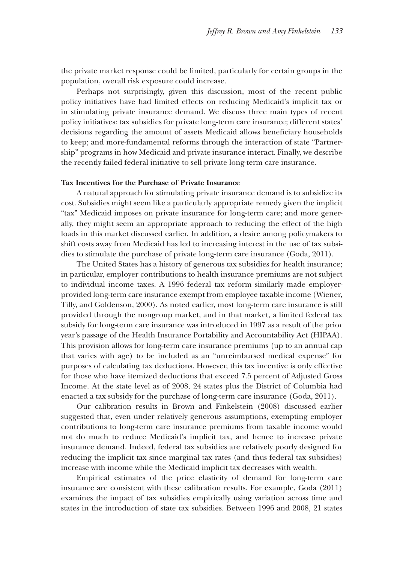the private market response could be limited, particularly for certain groups in the population, overall risk exposure could increase.

Perhaps not surprisingly, given this discussion, most of the recent public policy initiatives have had limited effects on reducing Medicaid's implicit tax or in stimulating private insurance demand. We discuss three main types of recent policy initiatives: tax subsidies for private long-term care insurance; different states' decisions regarding the amount of assets Medicaid allows beneficiary households to keep; and more-fundamental reforms through the interaction of state "Partnership" programs in how Medicaid and private insurance interact. Finally, we describe the recently failed federal initiative to sell private long-term care insurance.

#### **Tax Incentives for the Purchase of Private Insurance**

A natural approach for stimulating private insurance demand is to subsidize its natural approach for stimulating private insurance demand is to subsidize its cost. Subsidies might seem like a particularly appropriate remedy given the implicit "tax" Medicaid imposes on private insurance for long-term care; and more generally, they might seem an appropriate approach to reducing the effect of the high loads in this market discussed earlier. In addition, a desire among policymakers to shift costs away from Medicaid has led to increasing interest in the use of tax subsidies to stimulate the purchase of private long-term care insurance (Goda, 2011).

The United States has a history of generous tax subsidies for health insurance; in particular, employer contributions to health insurance premiums are not subject to individual income taxes. A 1996 federal tax reform similarly made employerprovided long-term care insurance exempt from employee taxable income (Wiener, Tilly, and Goldenson, 2000). As noted earlier, most long-term care insurance is still provided through the nongroup market, and in that market, a limited federal tax subsidy for long-term care insurance was introduced in 1997 as a result of the prior year's passage of the Health Insurance Portability and Accountability Act (HIPAA). This provision allows for long-term care insurance premiums (up to an annual cap his provision allows for long-term care insurance premiums (up to an annual cap that varies with age) to be included as an "unreimbursed medical expense" for hat varies with age) to be included as an "unreimbursed medical expense" for purposes of calculating tax deductions. However, this tax incentive is only effective for those who have itemized deductions that exceed 7.5 percent of Adjusted Gross Income. At the state level as of 2008, 24 states plus the District of Columbia had enacted a tax subsidy for the purchase of long-term care insurance  $(Goda, 2011)$ .

Our calibration results in Brown and Finkelstein (2008) discussed earlier suggested that, even under relatively generous assumptions, exempting employer contributions to long-term care insurance premiums from taxable income would not do much to reduce Medicaid's implicit tax, and hence to increase private insurance demand. Indeed, federal tax subsidies are relatively poorly designed for reducing the implicit tax since marginal tax rates (and thus federal tax subsidies) increase with income while the Medicaid implicit tax decreases with wealth.

Empirical estimates of the price elasticity of demand for long-term care insurance are consistent with these calibration results. For example, Goda  $(2011)$ examines the impact of tax subsidies empirically using variation across time and states in the introduction of state tax subsidies. Between 1996 and 2008, 21 states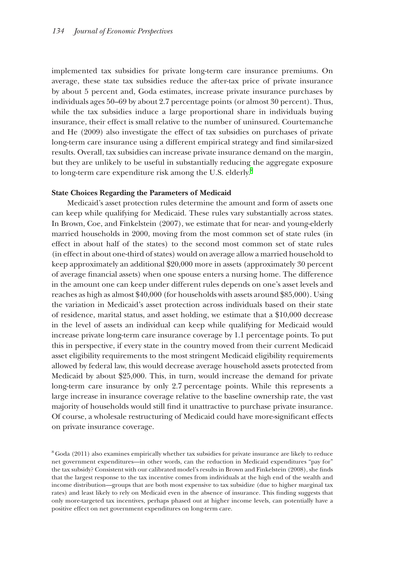implemented tax subsidies for private long-term care insurance premiums. On mplemented tax subsidies for private long-term care insurance premiums. On average, these state tax subsidies reduce the after-tax price of private insurance by about 5 percent and, Goda estimates, increase private insurance purchases by y about 5 percent and, Goda estimates, increase private insurance purchases by individuals ages  $50-69$  by about 2.7 percentage points (or almost  $30$  percent). Thus, while the tax subsidies induce a large proportional share in individuals buying insurance, their effect is small relative to the number of uninsured. Courtemanche and He (2009) also investigate the effect of tax subsidies on purchases of private long-term care insurance using a different empirical strategy and find similar-sized results. Overall, tax subsidies can increase private insurance demand on the margin, but they are unlikely to be useful in substantially reducing the aggregate exposure to long-term care expenditure risk among the U.S. elderly. $^8$ 

#### **State Choices Regarding the Parameters of Medicaid**

Medicaid's asset protection rules determine the amount and form of assets one can keep while qualifying for Medicaid. These rules vary substantially across states. In Brown, Coe, and Finkelstein (2007), we estimate that for near- and young-elderly married households in 2000, moving from the most common set of state rules (in effect in about half of the states) to the second most common set of state rules ffect in about half of the states) to the second most common set of state rules (in effect in about one-third of states) would on average allow a married household to in effect in about one-third of states) would on average allow a married household to keep approximately an additional \$20,000 more in assets (approximately 30 percent of average financial assets) when one spouse enters a nursing home. The difference in the amount one can keep under different rules depends on one's asset levels and reaches as high as almost \$40,000 (for households with assets around \$85,000). Using the variation in Medicaid's asset protection across individuals based on their state of residence, marital status, and asset holding, we estimate that a  $$10,000$  decrease in the level of assets an individual can keep while qualifying for Medicaid would increase private long-term care insurance coverage by 1.1 percentage points. To put this in perspective, if every state in the country moved from their current Medicaid asset eligibility requirements to the most stringent Medicaid eligibility requirements allowed by federal law, this would decrease average household assets protected from Medicaid by about \$25,000. This, in turn, would increase the demand for private long-term care insurance by only 2.7 percentage points. While this represents a large increase in insurance coverage relative to the baseline ownership rate, the vast majority of households would still find it unattractive to purchase private insurance. Of course, a wholesale restructuring of Medicaid could have more-significant effects on private insurance coverage.

<sup>8</sup> Goda (2011) also examines empirically whether tax subsidies for private insurance are likely to reduce net government expenditures—in other words, can the reduction in Medicaid expenditures "pay for" the tax subsidy? Consistent with our calibrated model's results in Brown and Finkelstein (2008), she finds that the largest response to the tax incentive comes from individuals at the high end of the wealth and income distribution—groups that are both most expensive to tax subsidize (due to higher marginal tax rates) and least likely to rely on Medicaid even in the absence of insurance. This finding suggests that only more-targeted tax incentives, perhaps phased out at higher income levels, can potentially have a positive effect on net government expenditures on long-term care.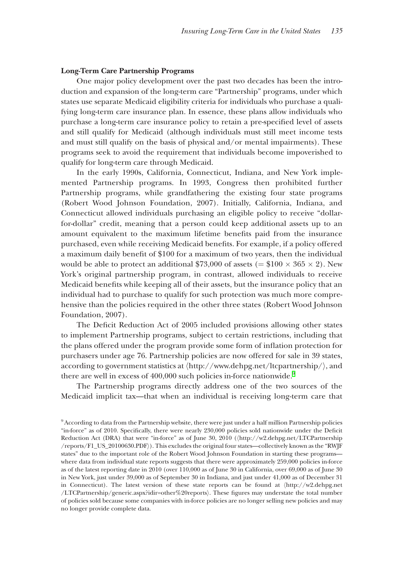#### **Long-Term Care Partnership Programs ong-Term Care Partnership**

One major policy development over the past two decades has been the introduction and expansion of the long-term care "Partnership" programs, under which states use separate Medicaid eligibility criteria for individuals who purchase a quali- tates use separate Medicaid eligibility criteria for individuals who purchase a qualifying long-term care insurance plan. In essence, these plans allow individuals who purchase a long-term care insurance policy to retain a pre-specified level of assets and still qualify for Medicaid (although individuals must still meet income tests and must still qualify on the basis of physical and/or mental impairments). These programs seek to avoid the requirement that individuals become impoverished to qualify for long-term care through Medicaid.

In the early 1990s, California, Connecticut, Indiana, and New York implemented Partnership programs. In 1993, Congress then prohibited further Partnership programs, while grandfathering the existing four state programs (Robert Wood Johnson Foundation, 2007). Initially, California, Indiana, and Connecticut allowed individuals purchasing an eligible policy to receive "dollarfor-dollar" credit, meaning that a person could keep additional assets up to an amount equivalent to the maximum lifetime benefits paid from the insurance purchased, even while receiving Medicaid benefits. For example, if a policy offered a maximum daily benefit of \$100 for a maximum of two years, then the individual would be able to protect an additional \$73,000 of assets (=  $$100 \times 365 \times 2$ ). New York's original partnership program, in contrast, allowed individuals to receive Medicaid benefits while keeping all of their assets, but the insurance policy that an individual had to purchase to qualify for such protection was much more comprehensive than the policies required in the other three states (Robert Wood Johnson Foundation, 2007).

The Deficit Reduction Act of 2005 included provisions allowing other states to implement Partnership programs, subject to certain restrictions, including that the plans offered under the program provide some form of inflation protection for purchasers under age 76. Partnership policies are now offered for sale in 39 states, according to government statistics at  $\langle$ http://www.dehpg.net/ltcpartnership/ $\rangle$ , and there are well in excess of 400,000 such policies in-force nationwide. $^9$ 

The Partnership programs directly address one of the two sources of the Medicaid implicit tax—that when an individual is receiving long-term care that

<sup>&</sup>lt;sup>9</sup> According to data from the Partnership website, there were just under a half million Partnership policies "in-force" as of 2010. Specifically, there were nearly 230,000 policies sold nationwide under the Deficit Reduction Act (DRA) that were "in-force" as of June 30, 2010 (〈http://w2.dehpg.net/LTCPartnership /reports/F1\_US\_20100630.PDF〉). This excludes the original four states—collectively known as the "RWJF states" due to the important role of the Robert Wood Johnson Foundation in starting these programs where data from individual state reports suggests that there were approximately 259,000 policies in-force as of the latest reporting date in 2010 (over 110,000 as of June 30 in California, over 69,000 as of June 30 in New York, just under 39,000 as of September 30 in Indiana, and just under 41,000 as of December 31 in Connecticut). The latest version of these state reports can be found at 〈http://w2.dehpg.net /LTCPartnership/generic.aspx?idir=other%20reports). These figures may understate the total number of policies sold because some companies with in-force policies are no longer selling new policies and may no longer provide complete data.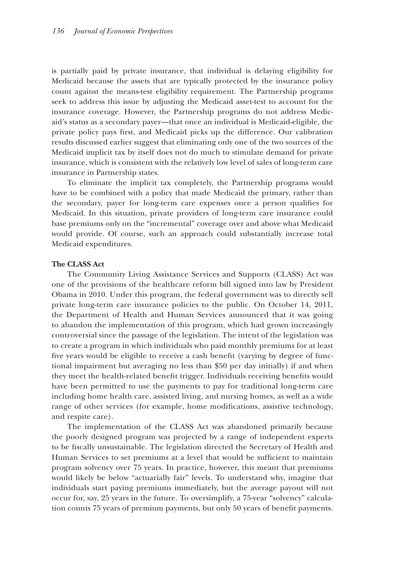is partially paid by private insurance, that individual is delaying eligibility for Medicaid because the assets that are typically protected by the insurance policy count against the means-test eligibility requirement. The Partnership programs seek to address this issue by adjusting the Medicaid asset-test to account for the insurance coverage. However, the Partnership programs do not address Medicaid's status as a secondary payer—that once an individual is Medicaid-eligible, the private policy pays first, and Medicaid picks up the difference. Our calibration results discussed earlier suggest that eliminating only one of the two sources of the Medicaid implicit tax by itself does not do much to stimulate demand for private insurance, which is consistent with the relatively low level of sales of long-term care insurance in Partnership states.

To eliminate the implicit tax completely, the Partnership programs would have to be combined with a policy that made Medicaid the primary, rather than the secondary, payer for long-term care expenses once a person qualifies for Medicaid. In this situation, private providers of long-term care insurance could base premiums only on the "incremental" coverage over and above what Medicaid would provide. Of course, such an approach could substantially increase total Medicaid expenditures.

#### **The CLASS Act he CLASS**

The Community Living Assistance Services and Supports (CLASS) Act was one of the provisions of the healthcare reform bill signed into law by President Obama in 2010. Under this program, the federal government was to directly sell bama in 2010. Under this program, the federal government was to directly sell private long-term care insurance policies to the public. On October 14, 2011, the Department of Health and Human Services announced that it was going to abandon the implementation of this program, which had grown increasingly controversial since the passage of the legislation. The intent of the legislation was to create a program in which individuals who paid monthly premiums for at least five years would be eligible to receive a cash benefit (varying by degree of functional impairment but averaging no less than \$50 per day initially) if and when they meet the health-related benefit trigger. Individuals receiving benefits would have been permitted to use the payments to pay for traditional long-term care including home health care, assisted living, and nursing homes, as well as a wide range of other services (for example, home modifications, assistive technology, and respite care).

The implementation of the CLASS Act was abandoned primarily because the poorly designed program was projected by a range of independent experts to be fiscally unsustainable. The legislation directed the Secretary of Health and Human Services to set premiums at a level that would be sufficient to maintain program solvency over 75 years. In practice, however, this meant that premiums would likely be below "actuarially fair" levels. To understand why, imagine that individuals start paying premiums immediately, but the average payout will not occur for, say, 25 years in the future. To oversimplify, a 75-year "solvency" calculation counts 75 years of premium payments, but only 50 years of benefit payments.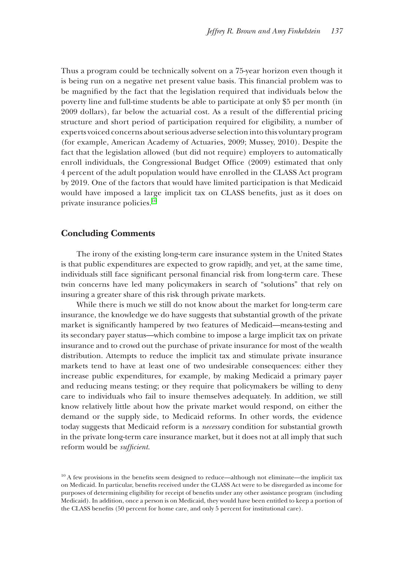Thus a program could be technically solvent on a 75-year horizon even though it is being run on a negative net present value basis. This financial problem was to be magnified by the fact that the legislation required that individuals below the poverty line and full-time students be able to participate at only \$5 per month (in 2009 dollars), far below the actuarial cost. As a result of the differential pricing 009 dollars), far below the actuarial cost. As a result of the differential pricing structure and short period of participation required for eligibility, a number of experts voiced concerns about serious adverse selection into this voluntary program (for example, American Academy of Actuaries, 2009; Mussey, 2010). Despite the fact that the legislation allowed (but did not require) employers to automatically enroll individuals, the Congressional Budget Office (2009) estimated that only 4 percent of the adult population would have enrolled in the CLASS Act program percent of the adult population would have enrolled in the CLASS Act program by 2019. One of the factors that would have limited participation is that Medicaid would have imposed a large implicit tax on CLASS benefits, just as it does on private insurance policies. $^{10}$ 

### **Concluding Comments oncluding**

The irony of the existing long-term care insurance system in the United States is that public expenditures are expected to grow rapidly, and yet, at the same time, individuals still face significant personal financial risk from long-term care. These twin concerns have led many policymakers in search of "solutions" that rely on insuring a greater share of this risk through private markets.

While there is much we still do not know about the market for long-term care insurance, the knowledge we do have suggests that substantial growth of the private market is significantly hampered by two features of Medicaid—means-testing and its secondary payer status—which combine to impose a large implicit tax on private insurance and to crowd out the purchase of private insurance for most of the wealth distribution. Attempts to reduce the implicit tax and stimulate private insurance markets tend to have at least one of two undesirable consequences: either they increase public expenditures, for example, by making Medicaid a primary payer and reducing means testing; or they require that policymakers be willing to deny care to individuals who fail to insure themselves adequately. In addition, we still know relatively little about how the private market would respond, on either the demand or the supply side, to Medicaid reforms. In other words, the evidence today suggests that Medicaid reform is a *necessary* condition for substantial growth in the private long-term care insurance market, but it does not at all imply that such reform would be *sufficient*.

 $10$  A few provisions in the benefits seem designed to reduce—although not eliminate—the implicit tax on Medicaid. In particular, benefits received under the CLASS Act were to be disregarded as income for purposes of determining eligibility for receipt of benefits under any other assistance program (including Medicaid). In addition, once a person is on Medicaid, they would have been entitled to keep a portion of the CLASS benefits (50 percent for home care, and only 5 percent for institutional care).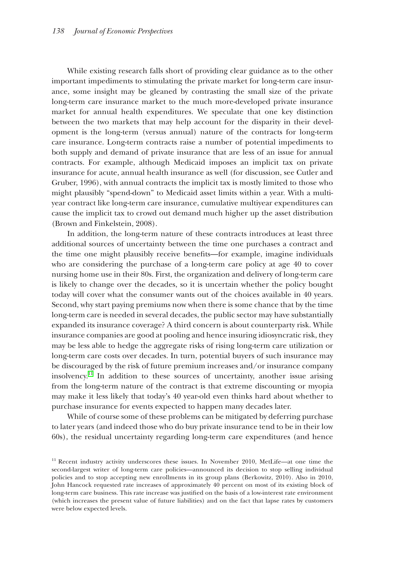While existing research falls short of providing clear guidance as to the other important impediments to stimulating the private market for long-term care insurance, some insight may be gleaned by contrasting the small size of the private long-term care insurance market to the much more-developed private insurance market for annual health expenditures. We speculate that one key distinction between the two markets that may help account for the disparity in their development is the long-term (versus annual) nature of the contracts for long-term pment is the long-term (versus annual) nature of the contracts for long-term care insurance. Long-term contracts raise a number of potential impediments to both supply and demand of private insurance that are less of an issue for annual contracts. For example, although Medicaid imposes an implicit tax on private insurance for acute, annual health insurance as well (for discussion, see Cutler and Gruber, 1996), with annual contracts the implicit tax is mostly limited to those who might plausibly "spend-down" to Medicaid asset limits within a year. With a multiyear contract like long-term care insurance, cumulative multiyear expenditures can cause the implicit tax to crowd out demand much higher up the asset distribution  $(Brown and Finkelstein, 2008).$ 

In addition, the long-term nature of these contracts introduces at least three additional sources of uncertainty between the time one purchases a contract and the time one might plausibly receive benefits—for example, imagine individuals the time one might plausibly receive benefits—for example, imagine individuals who are considering the purchase of a long-term care policy at age  $40$  to cover nursing home use in their 80s. First, the organization and delivery of long-term care is likely to change over the decades, so it is uncertain whether the policy bought today will cover what the consumer wants out of the choices available in 40 years. Second, why start paying premiums now when there is some chance that by the time long-term care is needed in several decades, the public sector may have substantially expanded its insurance coverage? A third concern is about counterparty risk. While insurance companies are good at pooling and hence insuring idiosyncratic risk, they may be less able to hedge the aggregate risks of rising long-term care utilization or long-term care costs over decades. In turn, potential buyers of such insurance may be discouraged by the risk of future premium increases and/or insurance company insolvency.<sup>11</sup> In addition to these sources of uncertainty, another issue arising from the long-term nature of the contract is that extreme discounting or myopia may make it less likely that today's 40 year-old even thinks hard about whether to purchase insurance for events expected to happen many decades later.

While of course some of these problems can be mitigated by deferring purchase to later years (and indeed those who do buy private insurance tend to be in their low 60s), the residual uncertainty regarding long-term care expenditures (and hence

<sup>&</sup>lt;sup>11</sup> Recent industry activity underscores these issues. In November 2010, MetLife—at one time the second-largest writer of long-term care policies—announced its decision to stop selling individual policies and to stop accepting new enrollments in its group plans (Berkowitz, 2010). Also in 2010, John Hancock requested rate increases of approximately 40 percent on most of its existing block of long-term care business. This rate increase was justified on the basis of a low-interest rate environment (which increases the present value of future liabilities) and on the fact that lapse rates by customers were below expected levels.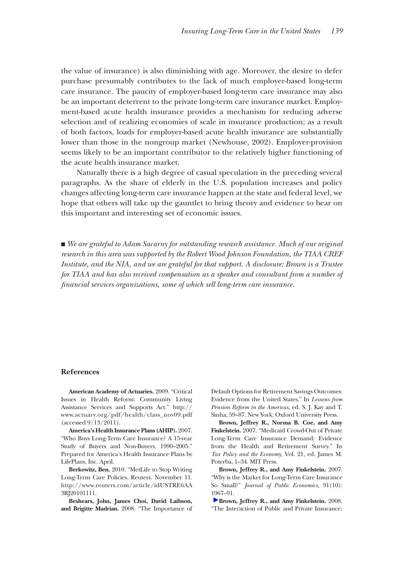the value of insurance) is also diminishing with age. Moreover, the desire to defer purchase presumably contributes to the lack of much employer-based long-term care insurance. The paucity of employer-based long-term care insurance may also be an important deterrent to the private long-term care insurance market. Employment-based acute health insurance provides a mechanism for reducing adverse selection and of realizing economies of scale in insurance production; as a result of both factors, loads for employer-based acute health insurance are substantially lower than those in the nongroup market (Newhouse, 2002). Employer-provision seems likely to be an important contributor to the relatively higher functioning of the acute health insurance market.

Naturally there is a high degree of casual speculation in the preceding several paragraphs. As the share of elderly in the U.S. population increases and policy changes affecting long-term care insurance happen at the state and federal level, we hope that others will take up the gauntlet to bring theory and evidence to bear on this important and interesting set of economic issues.

■ *We are grateful to Adam Sacarny for outstanding research assistance. Much of our original research in this area was supported by the Robert Wood Johnson Foundation, the TIAA CREF Institute, and the NIA, and we are grateful for that support. A disclosure: Brown is a Trustee for TIAA and has also received compensation as a speaker and consultant from a number of financial services organizations, some of which sell long-term care insurance.* 

#### **References**

**American Academy of Actuaries.** 2009. "Critical Issues in Health Reform: Community Living Assistance Services and Supports Act." http:// www.actuary.org/pdf/health/class\_nov09.pdf (accessed 9/13/2011).

**America's Health Insurance Plans (AHIP).** 2007. "Who Buys Long-Term Care Insurance? A 15-year Study of Buyers and Non-Buyers, 1990–2005." Prepared for America's Health Insurance Plans by LifePlans, Inc. April.

**Berkowitz, Ben.** 2010. "MetLife to Stop Writing Long-Term Care Policies. Reuters. November 11. http://www.reuters.com/article/idUSTRE6AA 3RJ20101111.

**Beshears, John, James Choi, David Laibson, and Brigitte Madrian.** 2008. "The Importance of

Default Options for Retirement Savings Outcomes: Evidence from the United States." In *Lessons from Pension Reform in the Americas,* ed. S. J. Kay and T. Sinha, 59–87. New York: Oxford University Press.

**Brown, Jeffrey R., Norma B. Coe, and Amy Finkelstein.** 2007. "Medicaid Crowd-Out of Private Long-Term Care Insurance Demand: Evidence from the Health and Retirement Survey." In *Tax Policy and the Economy,* Vol. 21, ed. James M. Poterba, 1–34. MIT Press.

**Brown, Jeffrey R., and Amy Finkelstein.** 2007. "Why is the Market for Long-Term Care Insurance So Small?" *Journal of Public Economics,* 91(10): [196](https://pubs.aeaweb.org/action/showLinks?doi=10.1257%2Fjep.25.4.119&system=10.1257%2Faer.98.3.1083&citationId=p_7)7–91.

**Brown, Jeffrey R., and Amy Finkelstein.** 2008. "The Interaction of Public and Private Insurance: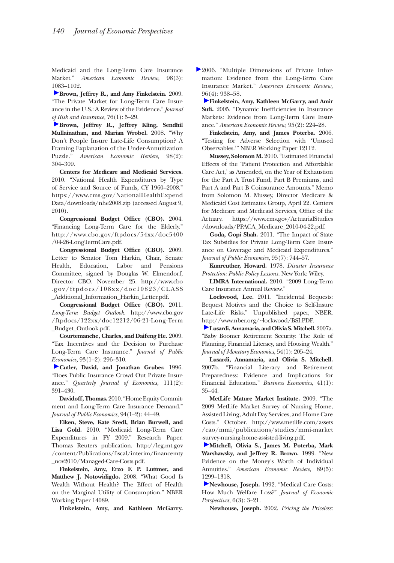Medicaid and the Long-Term Care Insurance Market." *American Economic Review,* 98(3): [108](https://pubs.aeaweb.org/action/showLinks?doi=10.1257%2Fjep.25.4.119&crossref=10.1111%2Fj.1539-6975.2009.01286.x&citationId=p_8)3–1102.

**Brown, Jeffrey R., and Amy Finkelstein.** 2009. "The Private Market for Long-Term Care Insurance in the U.S.: A Review of the Evidence." *Journal [of R](https://pubs.aeaweb.org/action/showLinks?doi=10.1257%2Fjep.25.4.119&system=10.1257%2Faer.98.2.304&citationId=p_9)isk and Insurance,* 76(1): 5–29.

**Brown, Jeffrey R., Jeffrey Kling, Sendhil Mullainathan, and Marian Wrobel.** 2008. "Why Don't People Insure Late-Life Consumption? A Framing Explanation of the Under-Annuitization Puzzle." *American Economic Review,* 98(2): 304–309.

**Centers for Medicare and Medicaid Services.**  2010. "National Health Expenditures by Type of Service and Source of Funds, CY 1960–2008." https://www.cms.gov/NationalHealthExpend Data/downloads/nhe2008.zip (accessed August 9, 2010).

**Congressional Budget Office (CBO).** 2004. "Financing Long-Term Care for the Elderly." http://www.cbo.gov/ftpdocs/54xx/doc5400 /04-26-LongTermCare.pdf.

**Congressional Budget Office (CBO).** 2009. Letter to Senator Tom Harkin, Chair, Senate Health, Education, Labor and Pensions Committee, signed by Douglas W. Elmendorf, Director CBO. November 25. http://www.cbo .gov/ftpdocs/108xx/doc10823/CLASS \_Additional\_Information\_Harkin\_Letter.pdf.

**Congressional Budget Office (CBO).** 2011. *Long-Term Budget Outlook.* http://www.cbo.gov /ftpdocs/122xx/doc12212/06-21-Long-Term \_Budget\_Outlook.pdf.

**Courtemanche, Charles, and Daifeng He.** 2009. "Tax Incentives and the Decision to Purchase Long-Term Care Insurance." *Journal of Public [Eco](https://pubs.aeaweb.org/action/showLinks?doi=10.1257%2Fjep.25.4.119&crossref=10.2307%2F2946683&citationId=p_16)nomics,* 93(1–2): 296–310.

**Cutler, David, and Jonathan Gruber.** 1996. "Does Public Insurance Crowd Out Private Insurance." *Quarterly Journal of Economics,* 111(2): 391–430.

**Davidoff, Thomas.** 2010. "Home Equity Commitment and Long-Term Care Insurance Demand." *Journal of Public Economics,* 94(1–2): 44–49.

**Eiken, Steve, Kate Sredl, Brian Burwell, and Lisa Gold.** 2010. "Medicaid Long-Term Care Expenditures in FY 2009." Research Paper. Thomas Reuters publication. http://leg.mt.gov /content/Publications/fiscal/interim/financemty \_nov2010/Managed-Care-Costs.pdf.

**Finkelstein, Amy, Erzo F. P. Luttmer, and Matthew J. Notowidigdo.** 2008. "What Good Is Wealth Without Health? The Effect of Health on the Marginal Utility of Consumption." NBER Working Paper 14089.

**Finkelstein, Amy, and Kathleen McGarry.** 

2006. "Multiple Dimensions of Private Information: Evidence from the Long-Term Care Insurance Market." *American Economic Review,*  [96\(](https://pubs.aeaweb.org/action/showLinks?doi=10.1257%2Fjep.25.4.119&system=10.1257%2F000282805774669808&citationId=p_22)4): 938–58.

**Finkelstein, Amy, Kathleen McGarry, and Amir**  Sufi. 2005. "Dynamic Inefficiencies in Insurance Markets: Evidence from Long-Term Care Insurance." *American Economic Review,* 95(2): 224–28.

**Finkelstein, Amy, and James Poterba.** 2006. "Testing for Adverse Selection with 'Unused Observables.'" NBER Working Paper 12112.

**Mussey, Solomon M.** 2010. "Estimated Financial Effects of the 'Patient Protection and Affordable Care Act,' as Amended, on the Year of Exhaustion for the Part A Trust Fund, Part B Premiums, and Part A and Part B Coinsurance Amounts." Memo from Solomon M. Mussey, Director Medicare & Medicaid Cost Estimates Group, April 22. Centers for Medicare and Medicaid Services, Office of the Actuary. https://www.cms.gov/ActuarialStudies /downloads/PPACA\_Medicare\_2010-04-22.pdf.

**Goda, Gopi Shah.** 2011. "The Impact of State Tax Subsidies for Private Long-Term Care Insurance on Coverage and Medicaid Expenditures." *Journal of Public Economics,* 95(7): 744–57.

**Kunreuther, Howard.** 1978. *Disaster Insurance Protection: Public Policy Lessons.* New York: Wiley.

**LIMRA International.** 2010. "2009 Long-Term Care Insurance Annual Review."

**Lockwood, Lee.** 2011. "Incidental Bequests: Bequest Motives and the Choice to Self-Insure Late-Life Risks." Unpublished paper, NBER. [http](https://pubs.aeaweb.org/action/showLinks?doi=10.1257%2Fjep.25.4.119&crossref=10.1016%2Fj.jmoneco.2006.12.001&citationId=p_29)://www.nber.org/~lockwood/BSI.PDF.

**Lusardi, Annamaria, and Olivia S. Mitchell.** 2007a. "Baby Boomer Retirement Security: The Role of Planning, Financial Literacy, and Housing Wealth." *Journal of Monetary Economics,* 54(1): 205–24.

**Lusardi, Annamaria, and Olivia S. Mitchell.**  2007b. "Financial Literacy and Retirement Preparedness: Evidence and Implications for Financial Education." *Business Economics,* 41(1): 35–44.

**MetLife Mature Market Institute.** 2009. "The 2009 MetLife Market Survey of Nursing Home, Assisted Living, Adult Day Services, and Home Care Costs." October. http://www.metlife.com/assets /cao/mmi/publications/studies/mmi-market -[sur](https://pubs.aeaweb.org/action/showLinks?doi=10.1257%2Fjep.25.4.119&system=10.1257%2Faer.89.5.1299&citationId=p_32)vey-nursing-home-assisted-living.pdf.

**Mitchell, Olivia S., James M. Poterba, Mark Warshawsky, and Jeffrey R. Brown.** 1999. "New Evidence on the Money's Worth of Individual Annuities." *American Economic Review,* 89(5): [129](https://pubs.aeaweb.org/action/showLinks?doi=10.1257%2Fjep.25.4.119&system=10.1257%2Fjep.6.3.3&citationId=p_33)9–1318.

**Newhouse, Joseph.** 1992. "Medical Care Costs: How Much Welfare Loss?" *Journal of Economic Perspectives,* 6(3): 3–21.

**Newhouse, Joseph.** 2002. *Pricing the Priceless:*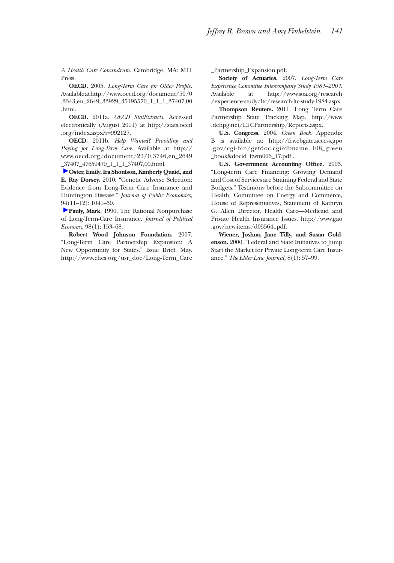*A Health Care Conundrum.* Cambridge, MA: MIT Press.

**OECD.** 2005. *Long-Term Care for Older People.* Available at http://www.oecd.org/document/50/0 ,3343,en\_2649\_33929\_35195570\_1\_1\_1\_37407,00 .html.

**OECD.** 2011a. *OECD StatExtracts.* Accessed electronically (August 2011) at http://stats.oecd .org/index.aspx?r=992127.

**OECD.** 2011b. *Help Wanted? Providing and Paying for Long-Term Care.* Available at http:// www.oecd.org/document/23/0,3746,en\_2649 [\\_37](https://pubs.aeaweb.org/action/showLinks?doi=10.1257%2Fjep.25.4.119&crossref=10.1016%2Fj.jpubeco.2010.06.009&citationId=p_38)407\_47659479\_1\_1\_1\_37407,00.html.

**Oster, Emily, Ira Shoulson, Kimberly Quaid, and E. Ray Dorsey.** 2010. "Genetic Adverse Selection: Evidence from Long-Term Care Insurance and Huntington Disease." *Journal of Public Economics,* [94\(](https://pubs.aeaweb.org/action/showLinks?doi=10.1257%2Fjep.25.4.119&crossref=10.1086%2F261673&citationId=p_39)11–12): 1041–50.

**Pauly, Mark.** 1990. The Rational Nonpurchase of Long-Term-Care Insurance. *Journal of Political Economy,* 98(1): 153–68.

**Robert Wood Johnson Foundation.** 2007. "Long-Term Care Partnership Expansion: A New Opportunity for States." Issue Brief. May. http://www.chcs.org/usr\_doc/Long-Term\_Care \_Partnership\_Expansion.pdf.

**Society of Actuaries.** 2007. *Long-Term Care Experience Committee Intercompany Study 1984–2004.*  Available at http://www.soa.org/research /experience-study/ltc/research-ltc-study-1984.aspx.

**Thompson Reuters.** 2011. Long Term Care Partnership State Tracking Map. http://www .dehpg.net/LTCPartnership/Reports.aspx.

**U.S. Congress.** 2004. *Green Book.* Appendix B is available at: http://frwebgate.access.gpo .gov/cgi-bin/getdoc.cgi?dbname=108\_green \_book&docid=f:wm006\_17.pdf .

U.S. Government Accounting Office. 2005. "Long-term Care Financing: Growing Demand and Cost of Services are Straining Federal and State Budgets." Testimony before the Subcommittee on Health, Committee on Energy and Commerce, House of Representatives, Statement of Kathryn G. Allen Director, Health Care—Medicaid and Private Health Insurance Issues. http://www.gao .gov/new.items/d05564t.pdf.

**Wiener, Joshua, Jane Tilly, and Susan Goldenson.** 2000. "Federal and State Initiatives to Jump Start the Market for Private Long-term Care Insurance." *The Elder Law Journal,* 8(1): 57–99.